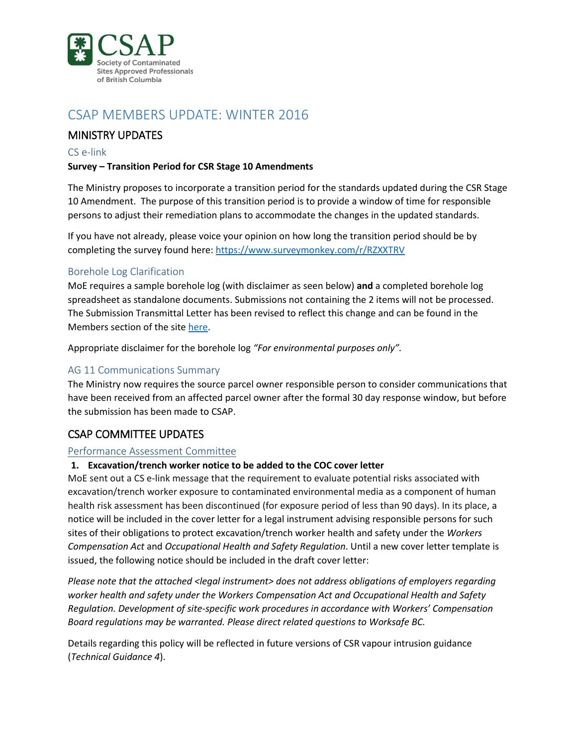

# CSAP MEMBERS UPDATE: WINTER 2016

# MINISTRY UPDATES

### CS e-link

## **Survey – Transition Period for CSR Stage 10 Amendments**

The Ministry proposes to incorporate a transition period for the standards updated during the CSR Stage 10 Amendment. The purpose of this transition period is to provide a window of time for responsible persons to adjust their remediation plans to accommodate the changes in the updated standards.

If you have not already, please voice your opinion on how long the transition period should be by completing the survey found here: <https://www.surveymonkey.com/r/RZXXTRV>

## Borehole Log Clarification

MoE requires a sample borehole log (with disclaimer as seen below) **and** a completed borehole log spreadsheet as standalone documents. Submissions not containing the 2 items will not be processed. The Submission Transmittal Letter has been revised to reflect this change and can be found in the Members section of the site [here.](http://csapsociety.bc.ca/members/make-a-submission/)

Appropriate disclaimer for the borehole log *"For environmental purposes only".*

## AG 11 Communications Summary

The Ministry now requires the source parcel owner responsible person to consider communications that have been received from an affected parcel owner after the formal 30 day response window, but before the submission has been made to CSAP.

## CSAP COMMITTEE UPDATES

#### Performance Assessment Committee

### **1. Excavation/trench worker notice to be added to the COC cover letter**

MoE sent out a CS e-link message that the requirement to evaluate potential risks associated with excavation/trench worker exposure to contaminated environmental media as a component of human health risk assessment has been discontinued (for exposure period of less than 90 days). In its place, a notice will be included in the cover letter for a legal instrument advising responsible persons for such sites of their obligations to protect excavation/trench worker health and safety under the *Workers Compensation Act* and *Occupational Health and Safety Regulation*. Until a new cover letter template is issued, the following notice should be included in the draft cover letter:

*Please note that the attached <legal instrument> does not address obligations of employers regarding worker health and safety under the Workers Compensation Act and Occupational Health and Safety Regulation. Development of site-specific work procedures in accordance with Workers' Compensation Board regulations may be warranted. Please direct related questions to Worksafe BC.*

Details regarding this policy will be reflected in future versions of CSR vapour intrusion guidance (*Technical Guidance 4*).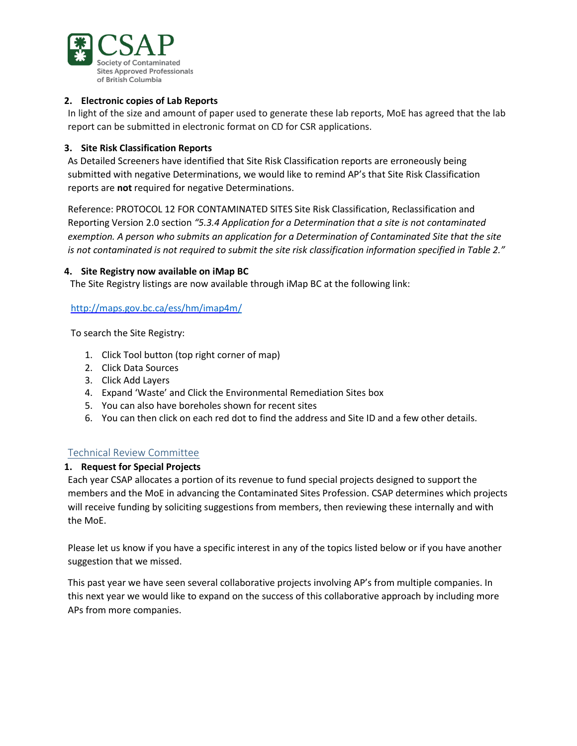

## **2. Electronic copies of Lab Reports**

In light of the size and amount of paper used to generate these lab reports, MoE has agreed that the lab report can be submitted in electronic format on CD for CSR applications.

## **3. Site Risk Classification Reports**

As Detailed Screeners have identified that Site Risk Classification reports are erroneously being submitted with negative Determinations, we would like to remind AP's that Site Risk Classification reports are **not** required for negative Determinations.

Reference: PROTOCOL 12 FOR CONTAMINATED SITES Site Risk Classification, Reclassification and Reporting Version 2.0 section *"5.3.4 Application for a Determination that a site is not contaminated exemption. A person who submits an application for a Determination of Contaminated Site that the site is not contaminated is not required to submit the site risk classification information specified in Table 2."*

## **4. Site Registry now available on iMap BC**

The Site Registry listings are now available through iMap BC at the following link:

## <http://maps.gov.bc.ca/ess/hm/imap4m/>

To search the Site Registry:

- 1. Click Tool button (top right corner of map)
- 2. Click Data Sources
- 3. Click Add Layers
- 4. Expand 'Waste' and Click the Environmental Remediation Sites box
- 5. You can also have boreholes shown for recent sites
- 6. You can then click on each red dot to find the address and Site ID and a few other details.

## Technical Review Committee

#### **1. Request for Special Projects**

Each year CSAP allocates a portion of its revenue to fund special projects designed to support the members and the MoE in advancing the Contaminated Sites Profession. CSAP determines which projects will receive funding by soliciting suggestions from members, then reviewing these internally and with the MoE.

Please let us know if you have a specific interest in any of the topics listed below or if you have another suggestion that we missed.

This past year we have seen several collaborative projects involving AP's from multiple companies. In this next year we would like to expand on the success of this collaborative approach by including more APs from more companies.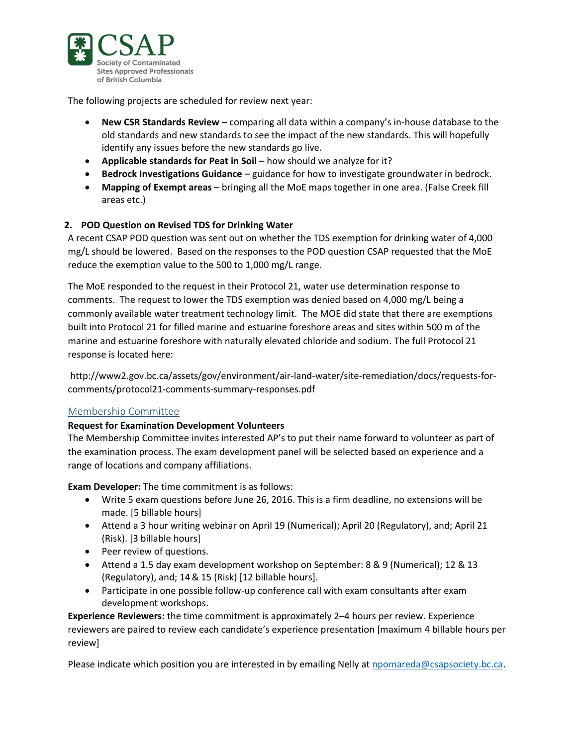

The following projects are scheduled for review next year:

- **New CSR Standards Review** comparing all data within a company's in-house database to the old standards and new standards to see the impact of the new standards. This will hopefully identify any issues before the new standards go live.
- **Applicable standards for Peat in Soil** how should we analyze for it?
- **Bedrock Investigations Guidance** guidance for how to investigate groundwater in bedrock.
- **Mapping of Exempt areas** bringing all the MoE maps together in one area. (False Creek fill areas etc.)

## **2. POD Question on Revised TDS for Drinking Water**

A recent CSAP POD question was sent out on whether the TDS exemption for drinking water of 4,000 mg/L should be lowered. Based on the responses to the POD question CSAP requested that the MoE reduce the exemption value to the 500 to 1,000 mg/L range.

The MoE responded to the request in their Protocol 21, water use determination response to comments. The request to lower the TDS exemption was denied based on 4,000 mg/L being a commonly available water treatment technology limit. The MOE did state that there are exemptions built into Protocol 21 for filled marine and estuarine foreshore areas and sites within 500 m of the marine and estuarine foreshore with naturally elevated chloride and sodium. The full Protocol 21 response is located here:

[http://www2.gov.bc.ca/assets/gov/environment/air-land-water/site-remediation/docs/requests-for](http://www2.gov.bc.ca/assets/gov/environment/air-land-water/site-remediation/docs/requests-for-comments/protocol21-comments-summary-responses.pdf)[comments/protocol21-comments-summary-responses.pdf](http://www2.gov.bc.ca/assets/gov/environment/air-land-water/site-remediation/docs/requests-for-comments/protocol21-comments-summary-responses.pdf)

#### Membership Committee

#### **Request for Examination Development Volunteers**

The Membership Committee invites interested AP's to put their name forward to volunteer as part of the examination process. The exam development panel will be selected based on experience and a range of locations and company affiliations.

**Exam Developer:** The time commitment is as follows:

- Write 5 exam questions before June 26, 2016. This is a firm deadline, no extensions will be made. [5 billable hours]
- Attend a 3 hour writing webinar on April 19 (Numerical); April 20 (Regulatory), and; April 21 (Risk). [3 billable hours]
- Peer review of questions.
- Attend a 1.5 day exam development workshop on September: 8 & 9 (Numerical); 12 & 13 (Regulatory), and; 14& 15 (Risk) [12 billable hours].
- Participate in one possible follow-up conference call with exam consultants after exam development workshops.

**Experience Reviewers:** the time commitment is approximately 2–4 hours per review. Experience reviewers are paired to review each candidate's experience presentation [maximum 4 billable hours per review]

Please indicate which position you are interested in by emailing Nelly at [npomareda@csapsociety.bc.ca.](mailto:npomareda@csapsociety.bc.ca)